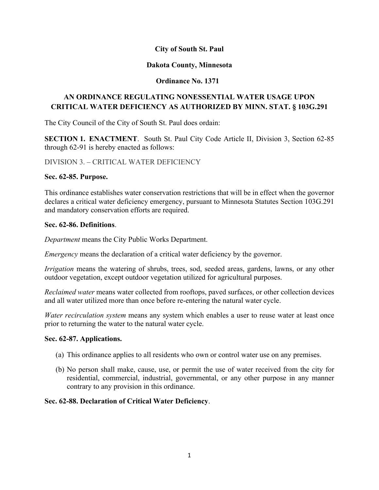## **City of South St. Paul**

### **Dakota County, Minnesota**

## **Ordinance No. 1371**

# **AN ORDINANCE REGULATING NONESSENTIAL WATER USAGE UPON CRITICAL WATER DEFICIENCY AS AUTHORIZED BY MINN. STAT. § 103G.291**

The City Council of the City of South St. Paul does ordain:

**SECTION 1. ENACTMENT**. South St. Paul City Code Article II, Division 3, Section 62-85 through 62-91 is hereby enacted as follows:

DIVISION 3. – CRITICAL WATER DEFICIENCY

### **Sec. 62-85. Purpose.**

This ordinance establishes water conservation restrictions that will be in effect when the governor declares a critical water deficiency emergency, pursuant to Minnesota Statutes Section 103G.291 and mandatory conservation efforts are required.

### **Sec. 62-86. Definitions**.

*Department* means the City Public Works Department.

*Emergency* means the declaration of a critical water deficiency by the governor.

*Irrigation* means the watering of shrubs, trees, sod, seeded areas, gardens, lawns, or any other outdoor vegetation, except outdoor vegetation utilized for agricultural purposes.

*Reclaimed water* means water collected from rooftops, paved surfaces, or other collection devices and all water utilized more than once before re-entering the natural water cycle.

*Water recirculation system* means any system which enables a user to reuse water at least once prior to returning the water to the natural water cycle.

#### **Sec. 62-87. Applications.**

- (a) This ordinance applies to all residents who own or control water use on any premises.
- (b) No person shall make, cause, use, or permit the use of water received from the city for residential, commercial, industrial, governmental, or any other purpose in any manner contrary to any provision in this ordinance.

### **Sec. 62-88. Declaration of Critical Water Deficiency**.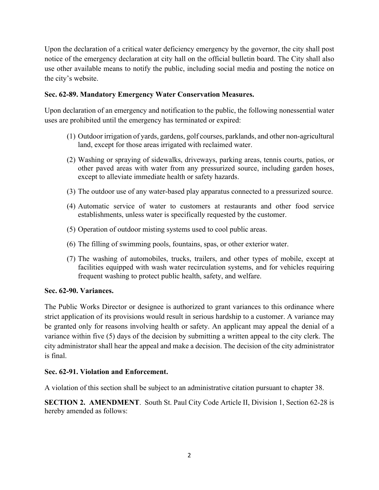Upon the declaration of a critical water deficiency emergency by the governor, the city shall post notice of the emergency declaration at city hall on the official bulletin board. The City shall also use other available means to notify the public, including social media and posting the notice on the city's website.

# **Sec. 62-89. Mandatory Emergency Water Conservation Measures.**

Upon declaration of an emergency and notification to the public, the following nonessential water uses are prohibited until the emergency has terminated or expired:

- (1) Outdoor irrigation of yards, gardens, golf courses, parklands, and other non-agricultural land, except for those areas irrigated with reclaimed water.
- (2) Washing or spraying of sidewalks, driveways, parking areas, tennis courts, patios, or other paved areas with water from any pressurized source, including garden hoses, except to alleviate immediate health or safety hazards.
- (3) The outdoor use of any water-based play apparatus connected to a pressurized source.
- (4) Automatic service of water to customers at restaurants and other food service establishments, unless water is specifically requested by the customer.
- (5) Operation of outdoor misting systems used to cool public areas.
- (6) The filling of swimming pools, fountains, spas, or other exterior water.
- (7) The washing of automobiles, trucks, trailers, and other types of mobile, except at facilities equipped with wash water recirculation systems, and for vehicles requiring frequent washing to protect public health, safety, and welfare.

## **Sec. 62-90. Variances.**

The Public Works Director or designee is authorized to grant variances to this ordinance where strict application of its provisions would result in serious hardship to a customer. A variance may be granted only for reasons involving health or safety. An applicant may appeal the denial of a variance within five (5) days of the decision by submitting a written appeal to the city clerk. The city administrator shall hear the appeal and make a decision. The decision of the city administrator is final.

## **Sec. 62-91. Violation and Enforcement.**

A violation of this section shall be subject to an administrative citation pursuant to chapter 38.

**SECTION 2. AMENDMENT**. South St. Paul City Code Article II, Division 1, Section 62-28 is hereby amended as follows: